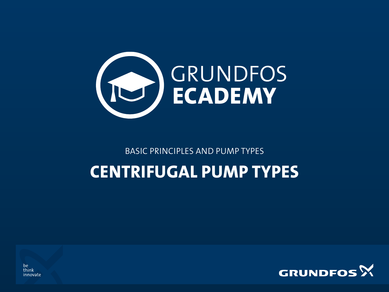

BASIC PRINCIPLES AND PUMP TYPES

### CENTRIFUGAL PUMP TYPES



be think innovate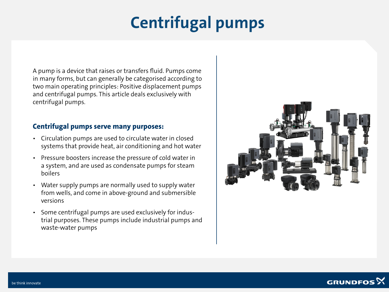# Centrifugal pumps

A pump is a device that raises or transfers fluid. Pumps come in many forms, but can generally be categorised according to two main operating principles: Positive displacement pumps and centrifugal pumps. This article deals exclusively with centrifugal pumps.

#### Centrifugal pumps serve many purposes:

- Circulation pumps are used to circulate water in closed systems that provide heat, air conditioning and hot water
- Pressure boosters increase the pressure of cold water in a system, and are used as condensate pumps for steam boilers
- Water supply pumps are normally used to supply water from wells, and come in above-ground and submersible versions
- Some centrifugal pumps are used exclusively for industrial purposes. These pumps include industrial pumps and waste-water pumps



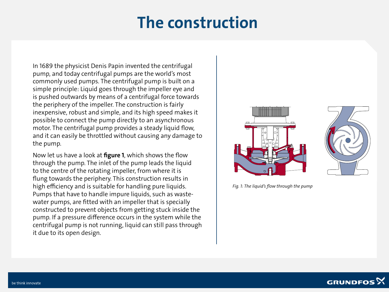### The construction

In 1689 the physicist Denis Papin invented the centrifugal pump, and today centrifugal pumps are the world's most commonly used pumps. The centrifugal pump is built on a simple principle: Liquid goes through the impeller eye and is pushed outwards by means of a centrifugal force towards the periphery of the impeller. The construction is fairly inexpensive, robust and simple, and its high speed makes it possible to connect the pump directly to an asynchronous motor. The centrifugal pump provides a steady liquid flow, and it can easily be throttled without causing any damage to the pump.

Now let us have a look at **figure 1**, which shows the flow through the pump. The inlet of the pump leads the liquid to the centre of the rotating impeller, from where it is flung towards the periphery. This construction results in high efficiency and is suitable for handling pure liquids. Pumps that have to handle impure liquids, such as wastewater pumps, are fitted with an impeller that is specially constructed to prevent objects from getting stuck inside the pump. If a pressure difference occurs in the system while the centrifugal pump is not running, liquid can still pass through it due to its open design.





*Fig. 1: The liquid's flow through the pump*

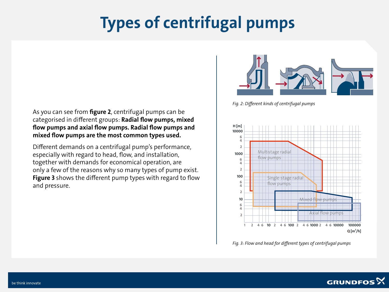# Types of centrifugal pumps

As you can see from figure 2, centrifugal pumps can be categorised in different groups: Radial flow pumps, mixed flow pumps and axial flow pumps. Radial flow pumps and mixed flow pumps are the most common types used.

Different demands on a centrifugal pump's performance, especially with regard to head, flow, and installation, together with demands for economical operation, are only a few of the reasons why so many types of pump exist. Figure 3 shows the different pump types with regard to flow and pressure.



*Fig. 2: Different kinds of centrifugal pumps*



*Fig. 3: Flow and head for different types of centrifugal pumps*